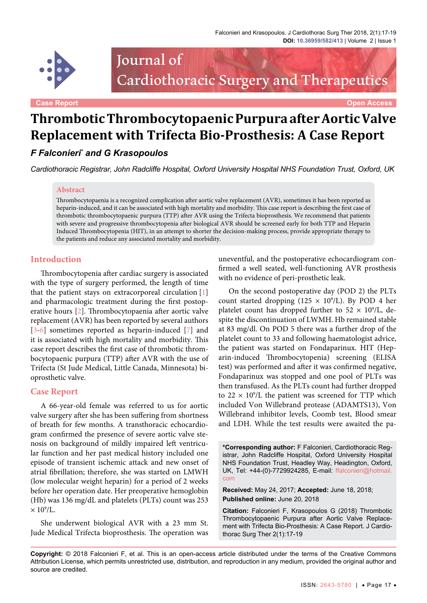

Journal of Cardiothoracic Surgery and Therapeutics

**Case Report Open Access**

# **Thrombotic Thrombocytopaenic Purpura after Aortic Valve Replacement with Trifecta Bio-Prosthesis: A Case Report**

## *F Falconieri\* and G Krasopoulos*

*Cardiothoracic Registrar, John Radcliffe Hospital, Oxford University Hospital NHS Foundation Trust, Oxford, UK*

#### **Abstract**

Thrombocytopaenia is a recognized complication after aortic valve replacement (AVR), sometimes it has been reported as heparin-induced, and it can be associated with high mortality and morbidity. This case report is describing the first case of thrombotic thrombocytopaenic purpura (TTP) after AVR using the Trifecta bioprosthesis. We recommend that patients with severe and progressive thrombocytopenia after biological AVR should be screened early for both TTP and Heparin Induced Thrombocytopenia (HIT), in an attempt to shorter the decision-making process, provide appropriate therapy to the patients and reduce any associated mortality and morbidity.

#### **Introduction**

Thrombocytopenia after cardiac surgery is associated with the type of surgery performed, the length of time that the patient stays on extracorporeal circulation [\[1\]](#page-2-0) and pharmacologic treatment during the first postoperative hours [\[2](#page-2-1)]. Thrombocytopaenia after aortic valve replacement (AVR) has been reported by several authors [\[3-](#page-2-2)[6\]](#page-2-3) sometimes reported as heparin-induced [\[7](#page-2-4)] and it is associated with high mortality and morbidity. This case report describes the first case of thrombotic thrombocytopaenic purpura (TTP) after AVR with the use of Trifecta (St Jude Medical, Little Canada, Minnesota) bioprosthetic valve.

#### **Case Report**

A 66-year-old female was referred to us for aortic valve surgery after she has been suffering from shortness of breath for few months. A transthoracic echocardiogram confirmed the presence of severe aortic valve stenosis on background of mildly impaired left ventricular function and her past medical history included one episode of transient ischemic attack and new onset of atrial fibrillation; therefore, she was started on LMWH (low molecular weight heparin) for a period of 2 weeks before her operation date. Her preoperative hemoglobin (Hb) was 136 mg/dL and platelets (PLTs) count was 253  $\times$  10<sup>9</sup>/L.

She underwent biological AVR with a 23 mm St. Jude Medical Trifecta bioprosthesis. The operation was uneventful, and the postoperative echocardiogram confirmed a well seated, well-functioning AVR prosthesis with no evidence of peri-prosthetic leak.

On the second postoperative day (POD 2) the PLTs count started dropping ( $125 \times 10^9$ /L). By POD 4 her platelet count has dropped further to  $52 \times 10^9$ /L, despite the discontinuation of LWMH. Hb remained stable at 83 mg/dl. On POD 5 there was a further drop of the platelet count to 33 and following haematologist advice, the patient was started on Fondaparinux. HIT (Heparin-induced Thrombocytopenia) screening (ELISA test) was performed and after it was confirmed negative, Fondaparinux was stopped and one pool of PLTs was then transfused. As the PLTs count had further dropped to  $22 \times 10^9$ /L the patient was screened for TTP which included Von Willebrand protease (ADAMTS13), Von Willebrand inhibitor levels, Coomb test, Blood smear and LDH. While the test results were awaited the pa-

**Received:** May 24, 2017; **Accepted:** June 18, 2018; **Published online:** June 20, 2018

**Citation:** Falconieri F, Krasopoulos G (2018) Thrombotic Thrombocytopaenic Purpura after Aortic Valve Replacement with Trifecta Bio-Prosthesis: A Case Report. J Cardiothorac Surg Ther 2(1):17-19

**<sup>\*</sup>Corresponding author:** F Falconieri, Cardiothoracic Registrar, John Radcliffe Hospital, Oxford University Hospital NHS Foundation Trust, Headley Way, Headington, Oxford, UK, Tel: +44-(0)-7729924285, E-mail: [ffalconieri@hotmail.](mailto:ffalconieri@hotmail.com) [com](mailto:ffalconieri@hotmail.com)

**Copyright:** © 2018 Falconieri F, et al. This is an open-access article distributed under the terms of the Creative Commons Attribution License, which permits unrestricted use, distribution, and reproduction in any medium, provided the original author and source are credited.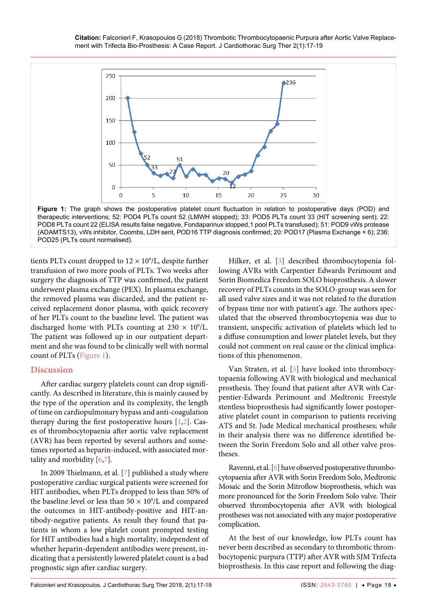<span id="page-1-0"></span>

POD8 PLTs count 22 (ELISA results false negative, Fondaparinux stopped,1 pool PLTs transfused); 51: POD9 vWs protease (ADAMTS13), vWs inhibitor, Coombs, LDH sent, POD16 TTP diagnosis confirmed; 20: POD17 (Plasma Exchange × 6); 236: POD25 (PLTs count normalised).

tients PLTs count dropped to  $12 \times 10^9$ /L, despite further transfusion of two more pools of PLTs. Two weeks after surgery the diagnosis of TTP was confirmed, the patient underwent plasma exchange (PEX). In plasma exchange, the removed plasma was discarded, and the patient received replacement donor plasma, with quick recovery of her PLTs count to the baseline level. The patient was discharged home with PLTs counting at  $230 \times 10^9$ /L. The patient was followed up in our outpatient department and she was found to be clinically well with normal count of PLTs [\(Figure 1](#page-1-0)).

### **Discussion**

After cardiac surgery platelets count can drop significantly. As described in literature, this is mainly caused by the type of the operation and its complexity, the length of time on cardiopulmonary bypass and anti-coagulation therapy during the first postoperative hours [[1](#page-2-0)[,2\]](#page-2-1). Cases of thrombocytopaenia after aortic valve replacement (AVR) has been reported by several authors and sometimes reported as heparin-induced, with associated mortality and morbidity [\[6](#page-2-3),[7](#page-2-4)].

In 2009 Thielmann, et al. [\[7\]](#page-2-4) published a study where postoperative cardiac surgical patients were screened for HIT antibodies, when PLTs dropped to less than 50% of the baseline level or less than  $50 \times 10^9$ /L and compared the outcomes in HIT-antibody-positive and HIT-antibody-negative patients. As result they found that patients in whom a low platelet count prompted testing for HIT antibodies had a high mortality, independent of whether heparin-dependent antibodies were present, indicating that a persistently lowered platelet count is a bad prognostic sign after cardiac surgery.

Hilker, et al. [[3](#page-2-2)] described thrombocytopenia following AVRs with Carpentier Edwards Perimount and Sorin Biomedica Freedom SOLO bioprosthesis. A slower recovery of PLTs counts in the SOLO-group was seen for all used valve sizes and it was not related to the duration of bypass time nor with patient's age. The authors speculated that the observed thrombocytopenia was due to transient, unspecific activation of platelets which led to a diffuse consumption and lower platelet levels, but they could not comment on real cause or the clinical implications of this phenomenon.

Van Straten, et al. [\[5](#page-2-5)] have looked into thrombocytopaenia following AVR with biological and mechanical prosthesis. They found that patient after AVR with Carpentier-Edwards Perimount and Medtronic Freestyle stentless bioprosthesis had significantly lower postoperative platelet count in comparison to patients receiving ATS and St. Jude Medical mechanical prostheses; while in their analysis there was no difference identified between the Sorin Freedom Solo and all other valve prostheses.

Ravenni, et al. [[6\]](#page-2-3) have observed postoperative thrombocytopaenia after AVR with Sorin Freedom Solo, Medtronic Mosaic and the Sorin Mitroflow bioprosthesis, which was more pronounced for the Sorin Freedom Solo valve. Their observed thrombocytopenia after AVR with biological prostheses was not associated with any major postoperative complication.

At the best of our knowledge, low PLTs count has never been described as secondary to thrombotic thrombocytopenic purpura (TTP) after AVR with SJM Trifecta bioprosthesis. In this case report and following the diag